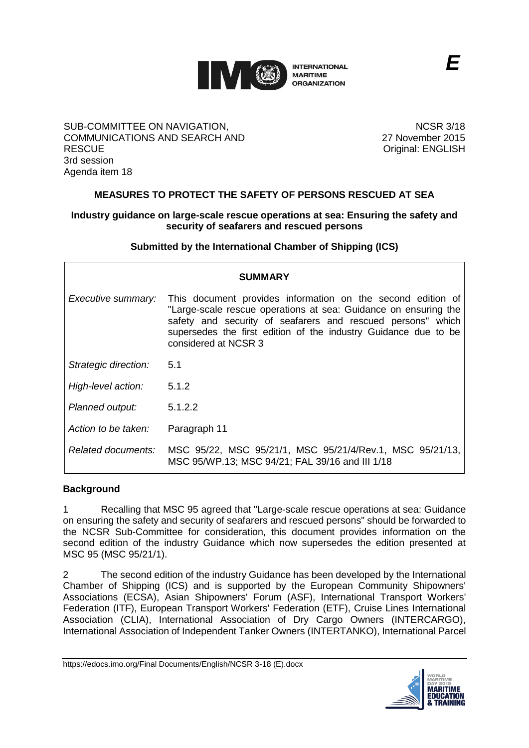

### SUB-COMMITTEE ON NAVIGATION, COMMUNICATIONS AND SEARCH AND **RESCUE** 3rd session Agenda item 18

NCSR 3/18 27 November 2015 Original: ENGLISH

# **MEASURES TO PROTECT THE SAFETY OF PERSONS RESCUED AT SEA**

# **Industry guidance on large-scale rescue operations at sea: Ensuring the safety and security of seafarers and rescued persons**

**Submitted by the International Chamber of Shipping (ICS)**

| <b>SUMMARY</b>       |                                                                                                                                                                                                                                                                                          |
|----------------------|------------------------------------------------------------------------------------------------------------------------------------------------------------------------------------------------------------------------------------------------------------------------------------------|
| Executive summary:   | This document provides information on the second edition of<br>"Large-scale rescue operations at sea: Guidance on ensuring the<br>safety and security of seafarers and rescued persons" which<br>supersedes the first edition of the industry Guidance due to be<br>considered at NCSR 3 |
| Strategic direction: | 5.1                                                                                                                                                                                                                                                                                      |
| High-level action:   | 5.1.2                                                                                                                                                                                                                                                                                    |
| Planned output:      | 5.1.2.2                                                                                                                                                                                                                                                                                  |
| Action to be taken:  | Paragraph 11                                                                                                                                                                                                                                                                             |
| Related documents:   | MSC 95/22, MSC 95/21/1, MSC 95/21/4/Rev.1, MSC 95/21/13,<br>MSC 95/WP.13; MSC 94/21; FAL 39/16 and III 1/18                                                                                                                                                                              |

## **Background**

1 Recalling that MSC 95 agreed that "Large-scale rescue operations at sea: Guidance on ensuring the safety and security of seafarers and rescued persons" should be forwarded to the NCSR Sub-Committee for consideration, this document provides information on the second edition of the industry Guidance which now supersedes the edition presented at MSC 95 (MSC 95/21/1).

2 The second edition of the industry Guidance has been developed by the International Chamber of Shipping (ICS) and is supported by the European Community Shipowners' Associations (ECSA), Asian Shipowners' Forum (ASF), International Transport Workers' Federation (ITF), European Transport Workers' Federation (ETF), Cruise Lines International Association (CLIA), International Association of Dry Cargo Owners (INTERCARGO), International Association of Independent Tanker Owners (INTERTANKO), International Parcel

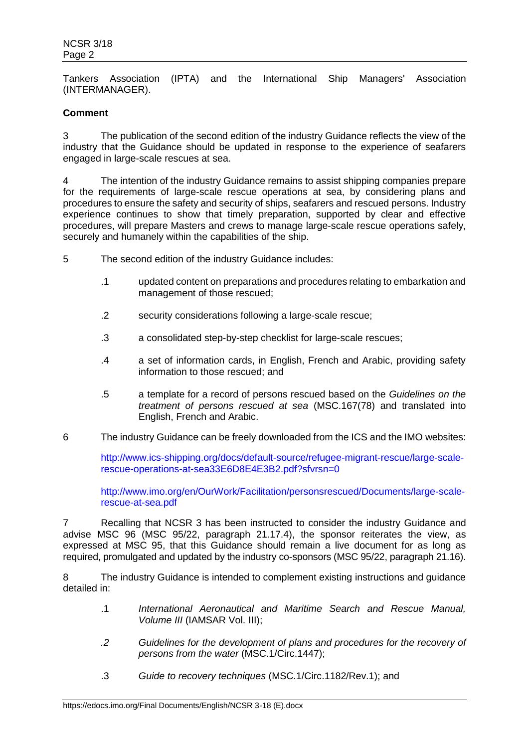Tankers Association (IPTA) and the International Ship Managers' Association (INTERMANAGER).

# **Comment**

3 The publication of the second edition of the industry Guidance reflects the view of the industry that the Guidance should be updated in response to the experience of seafarers engaged in large-scale rescues at sea.

4 The intention of the industry Guidance remains to assist shipping companies prepare for the requirements of large-scale rescue operations at sea, by considering plans and procedures to ensure the safety and security of ships, seafarers and rescued persons. Industry experience continues to show that timely preparation, supported by clear and effective procedures, will prepare Masters and crews to manage large-scale rescue operations safely, securely and humanely within the capabilities of the ship.

- 5 The second edition of the industry Guidance includes:
	- .1 updated content on preparations and procedures relating to embarkation and management of those rescued;
	- .2 security considerations following a large-scale rescue;
	- .3 a consolidated step-by-step checklist for large-scale rescues;
	- .4 a set of information cards, in English, French and Arabic, providing safety information to those rescued; and
	- .5 a template for a record of persons rescued based on the *Guidelines on the treatment of persons rescued at sea* (MSC.167(78) and translated into English, French and Arabic.
- 6 The industry Guidance can be freely downloaded from the ICS and the IMO websites:

[http://www.ics-shipping.org/docs/default-source/refugee-migrant-rescue/large-scale](http://www.ics-shipping.org/docs/default-source/refugee-migrant-rescue/large-scale-rescue-operations-at-sea33E6D8E4E3B2.pdf?sfvrsn=0)[rescue-operations-at-sea33E6D8E4E3B2.pdf?sfvrsn=0](http://www.ics-shipping.org/docs/default-source/refugee-migrant-rescue/large-scale-rescue-operations-at-sea33E6D8E4E3B2.pdf?sfvrsn=0)

[http://www.imo.org/en/OurWork/Facilitation/personsrescued/Documents/large-scale](http://www.imo.org/en/OurWork/Facilitation/personsrescued/Documents/large-scale-rescue-at-sea.pdf)[rescue-at-sea.pdf](http://www.imo.org/en/OurWork/Facilitation/personsrescued/Documents/large-scale-rescue-at-sea.pdf)

7 Recalling that NCSR 3 has been instructed to consider the industry Guidance and advise MSC 96 (MSC 95/22, paragraph 21.17.4), the sponsor reiterates the view, as expressed at MSC 95, that this Guidance should remain a live document for as long as required, promulgated and updated by the industry co-sponsors (MSC 95/22, paragraph 21.16).

8 The industry Guidance is intended to complement existing instructions and guidance detailed in:

- .1 *International Aeronautical and Maritime Search and Rescue Manual, Volume III* (IAMSAR Vol. III);
- *.2 Guidelines for the development of plans and procedures for the recovery of persons from the water* (MSC.1/Circ.1447);
- .3 *Guide to recovery techniques* (MSC.1/Circ.1182/Rev.1); and